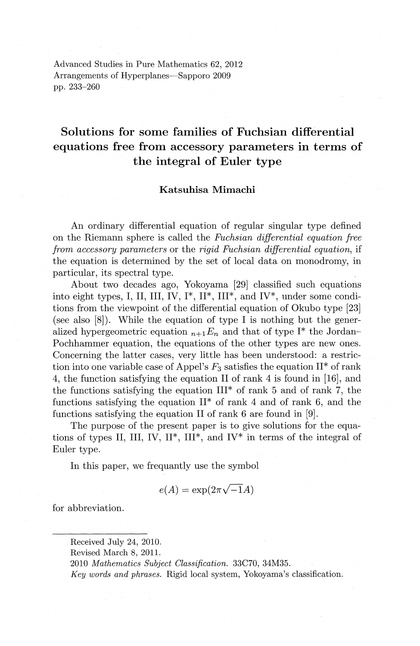Advanced Studies in Pure Mathematics 62, 2012 Arrangements of Hyperplanes-Sapporo 2009 pp. 233-260

# **Solutions for some families of Fuchsian differential equations free from accessory parameters in terms of the integral of Euler type**

# **Katsuhisa Mimachi**

An ordinary differential equation of regular singular type defined on the Riemann sphere is called the *Fuchsian differential equation free from accessory parameters* or the *rigid Fuchsian differential equation,* if the equation is determined by the set of local data on monodromy, in particular, its spectral type.

About two decades ago, Yokoyama [29] classified such equations into eight types, I, II, III, IV,  $I^*$ ,  $II^*$ ,  $III^*$ , and  $IV^*$ , under some conditions from the viewpoint of the differential equation of Okubo type [23] (see also  $[8]$ ). While the equation of type I is nothing but the generalized hypergeometric equation  $n+1E_n$  and that of type I<sup>\*</sup> the Jordan-Pochhammer equation, the equations of the other types are new ones. Concerning the latter cases, very little has been understood: a restriction into one variable case of Appel's  $F_3$  satisfies the equation  $II^*$  of rank 4, the function satisfying the equation II of rank 4 is found in [16], and the functions satisfying the equation  $III^*$  of rank 5 and of rank 7, the functions satisfying the equation  $II^*$  of rank 4 and of rank 6, and the functions satisfying the equation II of rank 6 are found in [9].

The purpose of the present paper is to give solutions for the equations of types II, III, IV,  $II^*$ ,  $III^*$ , and IV<sup>\*</sup> in terms of the integral of Euler type.

In this paper, we frequantly use the symbol

$$
e(A) = \exp(2\pi\sqrt{-1}A)
$$

for abbreviation.

Received July 24, 2010.

Revised March 8, 2011.

<sup>2010</sup> *Mathematics Subject Classification.* 33C70, 34M35.

*Key words and phrases.* Rigid local system, Yokoyama's classification.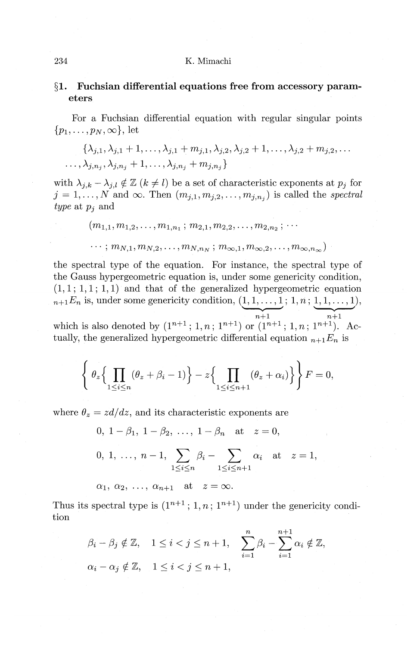# **§1. Fuchsian differential equations free from accessory parameters**

For a Fuchsian differential equation with regular singular points  $\{p_1, \ldots, p_N, \infty\}$ , let

$$
\{\lambda_{j,1}, \lambda_{j,1}+1,\ldots,\lambda_{j,1}+m_{j,1}, \lambda_{j,2}, \lambda_{j,2}+1,\ldots,\lambda_{j,2}+m_{j,2},\ldots\\,\ldots,\lambda_{j,n_j}, \lambda_{j,n_j}+1,\ldots,\lambda_{j,n_j}+m_{j,n_j}\}
$$

with  $\lambda_{j,k}-\lambda_{j,l} \notin \mathbb{Z}$   $(k \neq l)$  be a set of characteristic exponents at  $p_j$  for  $j = 1, \ldots, N$  and  $\infty$ . Then  $(m_{i,1}, m_{i,2}, \ldots, m_{i,n_i})$  is called the *spectral type* at *Pj* and

$$
(m_{1,1}, m_{1,2}, \ldots, m_{1,n_1}; m_{2,1}, m_{2,2}, \ldots, m_{2,n_2}; \ldots
$$

$$
\ldots; m_{N,1}, m_{N,2}, \ldots, m_{N,n_N}; m_{\infty,1}, m_{\infty,2}, \ldots, m_{\infty,n_\infty})
$$

the spectral type of the equation. For instance, the spectral type of the Gauss hypergeometric equation is, under some genericity condition,  $(1, 1; 1, 1; 1, 1)$  and that of the generalized hypergeometric equation  $n+1E_n$  is, under some genericity condition,  $(1, 1, \ldots, 1; 1, n; 1, 1, \ldots, 1)$ ,  $\frac{1}{n+1}$ ,  $\frac{1}{n+1}$ ,  $\frac{1}{n+1}$ 

which is also denoted by  $(1^{n+1}$ ; 1, n;  $1^{n+1}$ ) or  $(1^{n+1}$ ; 1, n;  $1^{n+1})$ . Actually, the generalized hypergeometric differential equation  $_{n+1}E_n$  is

$$
\left\{\theta_z\Big\{\prod_{1\leq i\leq n}(\theta_z+\beta_i-1)\Big\}-z\Big\{\prod_{1\leq i\leq n+1}(\theta_z+\alpha_i)\Big\}\right\}F=0,
$$

where  $\theta_z = zd/dz$ , and its characteristic exponents are

0, 
$$
1 - \beta_1
$$
,  $1 - \beta_2$ , ...,  $1 - \beta_n$  at  $z = 0$ ,  
\n0, 1, ...,  $n - 1$ ,  $\sum_{1 \le i \le n} \beta_i - \sum_{1 \le i \le n+1} \alpha_i$  at  $z = 1$ ,  
\n $\alpha_1, \alpha_2, ..., \alpha_{n+1}$  at  $z = \infty$ .

Thus its spectral type is  $(1^{n+1}$ ;  $1, n$ ;  $1^{n+1}$ ) under the genericity condition

$$
\beta_i - \beta_j \notin \mathbb{Z}, \quad 1 \le i < j \le n+1, \quad \sum_{i=1}^n \beta_i - \sum_{i=1}^{n+1} \alpha_i \notin \mathbb{Z},
$$
\n
$$
\alpha_i - \alpha_j \notin \mathbb{Z}, \quad 1 \le i < j \le n+1,
$$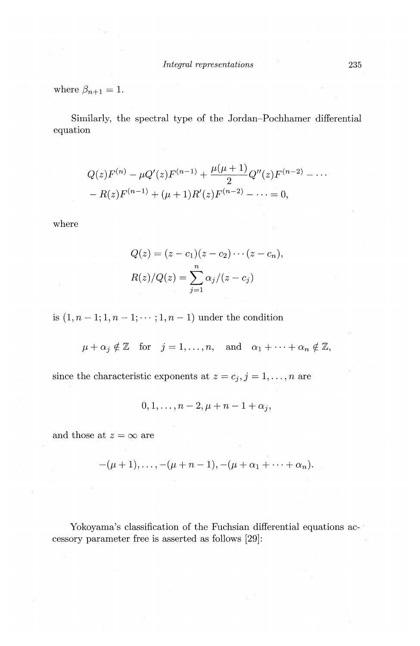where  $\beta_{n+1} = 1$ .

Similarly, the spectral type of the Jordan-Pochhamer differential equation

$$
Q(z)F^{(n)} - \mu Q'(z)F^{(n-1)} + \frac{\mu(\mu+1)}{2}Q''(z)F^{(n-2)} - \cdots
$$
  
- R(z)F<sup>(n-1)</sup> + (μ + 1)R'(z)F<sup>(n-2)</sup> - \cdots = 0,

where

$$
Q(z) = (z - c1)(z - c2) \cdots (z - cn),
$$
  

$$
R(z)/Q(z) = \sum_{j=1}^{n} \alpha_j/(z - c_j)
$$

is  $(1, n-1; 1, n-1; \dots; 1, n-1)$  under the condition

 $\mu + \alpha_j \notin \mathbb{Z}$  for  $j = 1, ..., n$ , and  $\alpha_1 + \cdots + \alpha_n \notin \mathbb{Z}$ ,

since the characteristic exponents at  $z = c_j$ ,  $j = 1, ..., n$  are

$$
0,1,\ldots,n-2,\mu+n-1+\alpha_j,
$$

and those at  $z = \infty$  are

$$
-(\mu+1), \ldots, -(\mu+n-1), -(\mu+\alpha_1+\cdots+\alpha_n).
$$

Yokoyama's classification of the Fuchsian differential equations accessory parameter free is asserted as follows [29]: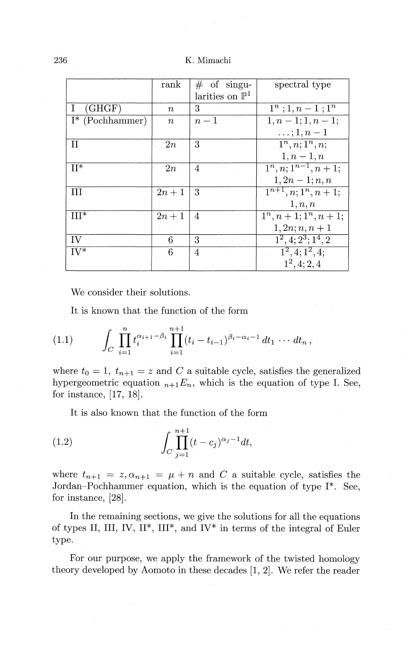236 K. Mimachi

|                    | rank     | $\#$ of singu-             | spectral type                      |
|--------------------|----------|----------------------------|------------------------------------|
|                    |          | larities on $\mathbb{P}^1$ |                                    |
| (GHGF)<br>Ι.       | $\it{n}$ | 3                          | $1^n$ ; 1, $n-1$ ; $1^n$           |
| $I^*$ (Pochhammer) | $\it{n}$ | $n-1$                      | $1, n-1; 1, n-1;$                  |
|                    |          |                            | $\ldots$ ; 1, $n-1$                |
| $_{\rm II}$        | 2n       | 3                          | $1^n, n; 1^n, n;$                  |
|                    |          |                            | $1, n-1, n$                        |
| $II^*$             | 2n       | $\overline{4}$             | $\overline{1^n, n; 1^{n-1}, n+1};$ |
|                    |          |                            | $1, 2n-1; n, n$                    |
| Ш                  | $2n+1$   | 3                          | $\overline{1^{n+1}, n; 1^n, n+1};$ |
|                    |          |                            | 1, n, n                            |
| $III*$             | $2n+1$   | 4                          | $1^n, n+1; 1^n, n+1;$              |
|                    |          |                            | $1, 2n; n, n+1$                    |
| ΙV                 | 6        | 3                          | $1^2, 4; 2^3; 1^4, 2$              |
| $IV^*$             | 6        | 4                          | $1^2, 4; 1^2, 4;$                  |
|                    |          |                            | $1^2, 4; 2, 4$                     |

We consider their solutions.

It is known that the function of the form

$$
(1.1) \qquad \int_C \prod_{i=1}^n t_i^{\alpha_{i+1}-\beta_i} \prod_{i=1}^{n+1} (t_i-t_{i-1})^{\beta_i-\alpha_i-1} dt_1 \, \cdots \, dt_n \, ,
$$

where  $t_0 = 1$ ,  $t_{n+1} = z$  and *C* a suitable cycle, satisfies the generalized hypergeometric equation  $n+1E_n$ , which is the equation of type I. See, for instance, [17, 18].

It is also known that the function of the form

(1.2) 
$$
\int_C \prod_{j=1}^{n+1} (t - c_j)^{\alpha_j - 1} dt,
$$

where  $t_{n+1} = z$ ,  $\alpha_{n+1} = \mu + n$  and *C* a suitable cycle, satisfies the Jordan-Pochhammer equation, which is the equation of type I\*. See, for instance, [28].

In the remaining sections, we give the solutions for all the equations of types II, III, IV, II\*, III\*, and IV\* in terms of the integral of Euler type.

For our purpose, we apply the framework of the twisted homology theory developed by Aomoto in these decades [1, 2]. We refer the reader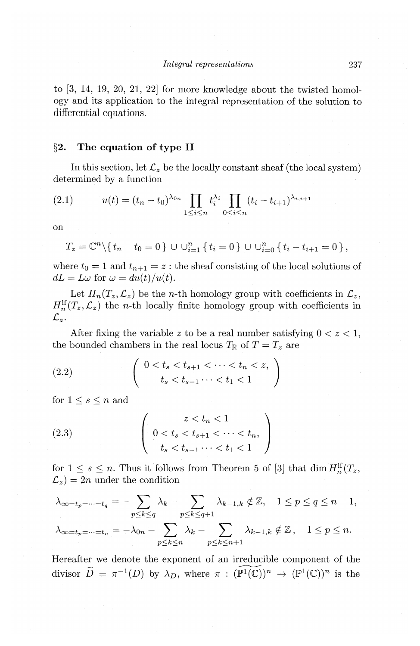to [3, 14, 19, 20, 21, 22] for more knowledge about the twisted homology and its application to the integral representation of the solution to differential equations.

## **§2. The equation of type II**

In this section, let  $\mathcal{L}_z$  be the locally constant sheaf (the local system) determined by a function

(2.1) 
$$
u(t) = (t_n - t_0)^{\lambda_{0n}} \prod_{1 \leq i \leq n} t_i^{\lambda_i} \prod_{0 \leq i \leq n} (t_i - t_{i+1})^{\lambda_{i,i+1}}
$$

on

$$
T_z = \mathbb{C}^n \setminus \{t_n - t_0 = 0\} \cup \bigcup_{i=1}^n \{t_i = 0\} \cup \bigcup_{i=0}^n \{t_i - t_{i+1} = 0\},\
$$

where  $t_0 = 1$  and  $t_{n+1} = z$ : the sheaf consisting of the local solutions of  $dL = L\omega$  for  $\omega = du(t)/u(t)$ .

Let  $H_n(T_z, \mathcal{L}_z)$  be the *n*-th homology group with coefficients in  $\mathcal{L}_z$ ,  $H_n^{\text{lf}}(T_z, \mathcal{L}_z)$  the *n*-th locally finite homology group with coefficients in *£z.* 

After fixing the variable  $z$  to be a real number satisfying  $0 < z < 1$ , the bounded chambers in the real locus  $T_{\mathbb{R}}$  of  $T=T_z$  are

(2.2) 
$$
\begin{pmatrix} 0 < t_s < t_{s+1} < \cdots < t_n < z, \\ t_s < t_{s-1} \cdots < t_1 < 1 \end{pmatrix}
$$

for  $1 \leq s \leq n$  and

(2.3) 
$$
\begin{pmatrix} z < t_n < 1 \\ 0 < t_s < t_{s+1} < \cdots < t_n, \\ t_s < t_{s-1} \cdots < t_1 < 1 \end{pmatrix}
$$

for  $1 \leq s \leq n$ . Thus it follows from Theorem 5 of [3] that  $\dim H_n^{\text{lf}}(T_z, T_z)$  $\mathcal{L}_z$ ) = 2*n* under the condition

$$
\lambda_{\infty=t_p=\dots=t_q} = -\sum_{p\leq k\leq q} \lambda_k - \sum_{p\leq k\leq q+1} \lambda_{k-1,k} \notin \mathbb{Z}, \quad 1 \leq p \leq q \leq n-1,
$$
  

$$
\lambda_{\infty=t_p=\dots=t_n} = -\lambda_{0n} - \sum_{p\leq k\leq n} \lambda_k - \sum_{p\leq k\leq n+1} \lambda_{k-1,k} \notin \mathbb{Z}, \quad 1 \leq p \leq n.
$$

Hereafter we denote the exponent of an irreducible component of the divisor  $\widetilde{D} = \pi^{-1}(D)$  by  $\lambda_D$ , where  $\pi : (\widetilde{\mathbb{P}^1(\mathbb{C})})^n \to (\mathbb{P}^1(\mathbb{C}))^n$  is the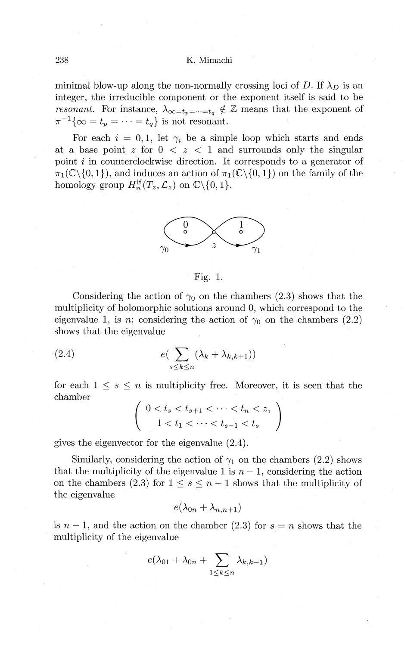minimal blow-up along the non-normally crossing loci of D. If  $\lambda_D$  is an integer, the irreducible component or the exponent itself is said to be *resonant.* For instance,  $\lambda_{\infty=t_p=\cdots=t_q} \notin \mathbb{Z}$  means that the exponent of  $\pi^{-1}\{\infty = t_p = \cdots = t_q\}$  is not resonant.

For each  $i = 0, 1$ , let  $\gamma_i$  be a simple loop which starts and ends at a base point  $z$  for  $0 \le z \le 1$  and surrounds only the singular point i in counterclockwise direction. It corresponds to a generator of  $\pi_1(\mathbb{C}\setminus\{0,1\})$ , and induces an action of  $\pi_1(\mathbb{C}\setminus\{0,1\})$  on the family of the homology group  $H_n^{\text{lf}}(T_z, \mathcal{L}_z)$  on  $\mathbb{C}\backslash\{0, 1\}.$ 



Fig. 1.

Considering the action of  $\gamma_0$  on the chambers (2.3) shows that the multiplicity of holomorphic solutions around 0, which correspond to the eigenvalue 1, is *n*; considering the action of  $\gamma_0$  on the chambers (2.2) shows that the eigenvalue

(2.4) 
$$
e\left(\sum_{s\leq k\leq n}(\lambda_k+\lambda_{k,k+1})\right)
$$

for each  $1 \leq s \leq n$  is multiplicity free. Moreover, it is seen that the chamber

$$
\left(\begin{array}{c}0 < t_s < t_{s+1} < \cdots < t_n < z, \\ 1 < t_1 < \cdots < t_{s-1} < t_s\end{array}\right)
$$

gives the eigenvector for the eigenvalue (2.4).

Similarly, considering the action of  $\gamma_1$  on the chambers (2.2) shows that the multiplicity of the eigenvalue 1 is  $n-1$ , considering the action on the chambers (2.3) for  $1 \leq s \leq n-1$  shows that the multiplicity of the eigenvalue

$$
e(\lambda_{0n}+\lambda_{n,n+1})
$$

is  $n-1$ , and the action on the chamber (2.3) for  $s = n$  shows that the multiplicity of the eigenvalue

$$
e(\lambda_{01}+\lambda_{0n}+\sum_{1\leq k\leq n}\lambda_{k,k+1})
$$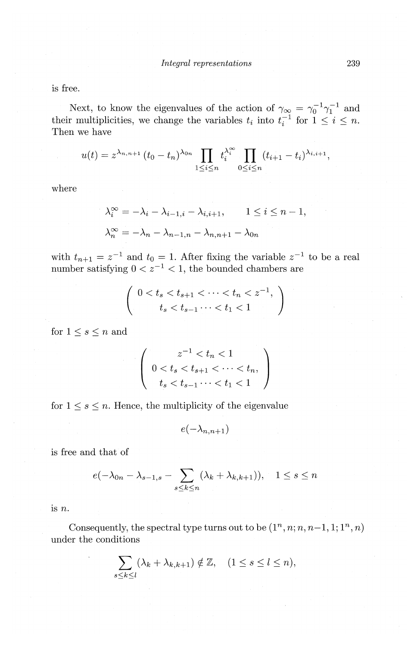is free.

Next, to know the eigenvalues of the action of  $\gamma_{\infty} = \gamma_0^{-1} \gamma_1^{-1}$  and their multiplicities, we change the variables  $t_i$  into  $t_i^{-1}$  for  $1 \leq i \leq n$ . Then we have

$$
u(t) = z^{\lambda_{n,n+1}} (t_0 - t_n)^{\lambda_{0n}} \prod_{1 \leq i \leq n} t_i^{\lambda_i^{\infty}} \prod_{0 \leq i \leq n} (t_{i+1} - t_i)^{\lambda_{i,i+1}},
$$

where

$$
\lambda_i^{\infty} = -\lambda_i - \lambda_{i-1,i} - \lambda_{i,i+1}, \qquad 1 \le i \le n-1,
$$
  

$$
\lambda_n^{\infty} = -\lambda_n - \lambda_{n-1,n} - \lambda_{n,n+1} - \lambda_{0n}
$$

with  $t_{n+1} = z^{-1}$  and  $t_0 = 1$ . After fixing the variable  $z^{-1}$  to be a real number satisfying  $0 < z^{-1} < 1$ , the bounded chambers are

$$
\left(\begin{array}{c}0 < t_s < t_{s+1} < \cdots < t_n < z^{-1}, \\t_s < t_{s-1} < t_1 < 1\end{array}\right)
$$

for  $1 \leq s \leq n$  and

$$
\left(\begin{array}{c}z^{-1} < t_n < 1\\ 0 < t_s < t_{s+1} < \cdots < t_n, \\ t_s < t_{s-1} \cdots < t_1 < 1\end{array}\right)
$$

for  $1 \leq s \leq n$ . Hence, the multiplicity of the eigenvalue

$$
e(-\lambda_{n,n+1})
$$

is free and that of

$$
e(-\lambda_{0n}-\lambda_{s-1,s}-\sum_{s\leq k\leq n}(\lambda_k+\lambda_{k,k+1})),\quad 1\leq s\leq n
$$

1s *n.* 

Consequently, the spectral type turns out to be  $(1^n, n; n, n-1, 1; 1^n, n)$ under the conditions

$$
\sum_{s\leq k\leq l}(\lambda_k+\lambda_{k,k+1})\notin\mathbb{Z}, \quad (1\leq s\leq l\leq n),
$$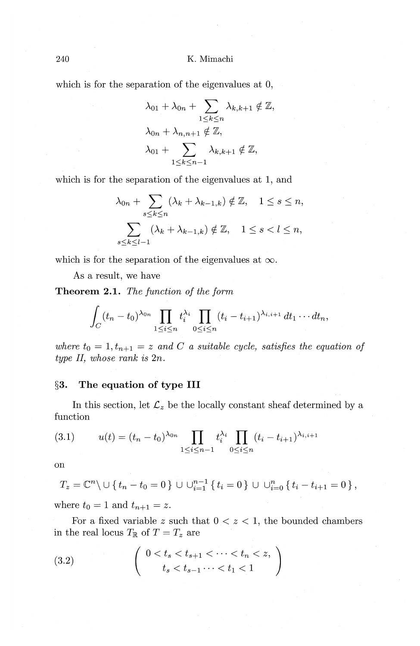which is for the separation of the eigenvalues at 0,

$$
\lambda_{01} + \lambda_{0n} + \sum_{1 \leq k \leq n} \lambda_{k,k+1} \notin \mathbb{Z},
$$
  

$$
\lambda_{0n} + \lambda_{n,n+1} \notin \mathbb{Z},
$$
  

$$
\lambda_{01} + \sum_{1 \leq k \leq n-1} \lambda_{k,k+1} \notin \mathbb{Z},
$$

which is for the separation of the eigenvalues at **1,** and

$$
\lambda_{0n} + \sum_{s \le k \le n} (\lambda_k + \lambda_{k-1,k}) \notin \mathbb{Z}, \quad 1 \le s \le n,
$$
  

$$
\sum_{s \le k \le l-1} (\lambda_k + \lambda_{k-1,k}) \notin \mathbb{Z}, \quad 1 \le s < l \le n,
$$

which is for the separation of the eigenvalues at  $\infty$ .

As a result, we have

**Theorem 2.1.** *The function of the form* 

$$
\int_C (t_n-t_0)^{\lambda_{0n}} \prod_{1\leq i\leq n} t_i^{\lambda_i} \prod_{0\leq i\leq n} (t_i-t_{i+1})^{\lambda_{i,i+1}} dt_1\cdots dt_n,
$$

where  $t_0 = 1, t_{n+1} = z$  and C a suitable cycle, satisfies the equation of *type* II, *whose rank is* 2n.

# **§3. The equation of type III**

In this section, let  $\mathcal{L}_z$  be the locally constant sheaf determined by a function

(3.1) 
$$
u(t) = (t_n - t_0)^{\lambda_{0n}} \prod_{1 \le i \le n-1} t_i^{\lambda_i} \prod_{0 \le i \le n} (t_i - t_{i+1})^{\lambda_{i,i+1}}
$$

on

$$
T_z = \mathbb{C}^n \setminus \cup \{ t_n - t_0 = 0 \} \cup \cup_{i=1}^{n-1} \{ t_i = 0 \} \cup \cup_{i=0}^{n} \{ t_i - t_{i+1} = 0 \},
$$

where  $t_0 = 1$  and  $t_{n+1} = z$ .

For a fixed variable  $z$  such that  $0 < z < 1$ , the bounded chambers in the real locus  $T_{\mathbb{R}}$  of  $T=T_z$  are

(3.2) 
$$
\begin{pmatrix} 0 < t_s < t_{s+1} < \cdots < t_n < z, \\ t_s < t_{s-1} \cdots < t_1 < 1 \end{pmatrix}
$$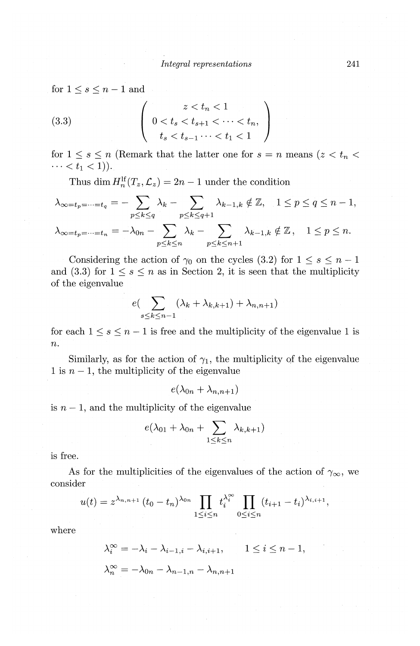for  $1\leq s\leq n-1$  and

(3.3) 
$$
\begin{pmatrix} z < t_n < 1 \\ 0 < t_s < t_{s+1} < \cdots < t_n, \\ t_s < t_{s-1} \cdots < t_1 < 1 \end{pmatrix}
$$

for  $1 \leq s \leq n$  (Remark that the latter one for  $s = n$  means  $(z \lt t_n \lt t_n)$  $\cdots < t_1 < 1$ ).

Thus dim  $H_n^{\text{If}}(T_z, \mathcal{L}_z) = 2n - 1$  under the condition

$$
\lambda_{\infty=t_p=\dots=t_q} = -\sum_{p\leq k\leq q} \lambda_k - \sum_{p\leq k\leq q+1} \lambda_{k-1,k} \notin \mathbb{Z}, \quad 1 \leq p \leq q \leq n-1,
$$
  

$$
\lambda_{\infty=t_p=\dots=t_n} = -\lambda_{0n} - \sum_{p\leq k\leq n} \lambda_k - \sum_{p\leq k\leq n+1} \lambda_{k-1,k} \notin \mathbb{Z}, \quad 1 \leq p \leq n.
$$

Considering the action of  $\gamma_0$  on the cycles (3.2) for  $1 \leq s \leq n-1$ and (3.3) for  $1 \leq s \leq n$  as in Section 2, it is seen that the multiplicity of the eigenvalue

$$
e\left(\sum_{s\leq k\leq n-1}(\lambda_k+\lambda_{k,k+1})+\lambda_{n,n+1}\right)
$$

for each  $1 \leq s \leq n-1$  is free and the multiplicity of the eigenvalue 1 is  $\overline{n}$ .

Similarly, as for the action of  $\gamma_1$ , the multiplicity of the eigenvalue 1 is  $n-1$ , the multiplicity of the eigenvalue

$$
e(\lambda_{0n}+\lambda_{n,n+1})
$$

is  $n-1$ , and the multiplicity of the eigenvalue

$$
e(\lambda_{01} + \lambda_{0n} + \sum_{1 \leq k \leq n} \lambda_{k,k+1})
$$

is free.

As for the multiplicities of the eigenvalues of the action of  $\gamma_{\infty}$ , we consider

$$
u(t) = z^{\lambda_{n,n+1}} (t_0 - t_n)^{\lambda_{0n}} \prod_{1 \leq i \leq n} t_i^{\lambda_i^{\infty}} \prod_{0 \leq i \leq n} (t_{i+1} - t_i)^{\lambda_{i,i+1}},
$$

where

$$
\lambda_i^{\infty} = -\lambda_i - \lambda_{i-1,i} - \lambda_{i,i+1}, \qquad 1 \le i \le n-1,
$$
  

$$
\lambda_n^{\infty} = -\lambda_{0n} - \lambda_{n-1,n} - \lambda_{n,n+1}
$$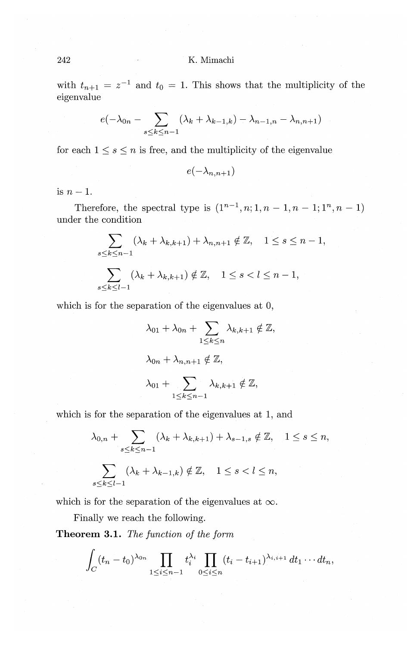with  $t_{n+1} = z^{-1}$  and  $t_0 = 1$ . This shows that the multiplicity of the eigenvalue

$$
e(-\lambda_{0n}-\sum_{s\leq k\leq n-1}(\lambda_k+\lambda_{k-1,k})-\lambda_{n-1,n}-\lambda_{n,n+1})
$$

for each  $1 \leq s \leq n$  is free, and the multiplicity of the eigenvalue

 $e(-\lambda_{n,n+1})$ 

is  $n-1$ .

Therefore, the spectral type is  $(1^{n-1}, n; 1, n-1, n-1; 1^n, n-1)$ under the condition

$$
\sum_{s \le k \le n-1} (\lambda_k + \lambda_{k,k+1}) + \lambda_{n,n+1} \notin \mathbb{Z}, \quad 1 \le s \le n-1,
$$
  

$$
\sum_{s \le k \le l-1} (\lambda_k + \lambda_{k,k+1}) \notin \mathbb{Z}, \quad 1 \le s < l \le n-1,
$$

which is for the separation of the eigenvalues at 0,

$$
\lambda_{01} + \lambda_{0n} + \sum_{1 \le k \le n} \lambda_{k,k+1} \notin \mathbb{Z},
$$
  

$$
\lambda_{0n} + \lambda_{n,n+1} \notin \mathbb{Z},
$$
  

$$
\lambda_{01} + \sum_{1 \le k \le n-1} \lambda_{k,k+1} \notin \mathbb{Z},
$$

which is for the separation of the eigenvalues at 1, and

$$
\lambda_{0,n} + \sum_{s \le k \le n-1} (\lambda_k + \lambda_{k,k+1}) + \lambda_{s-1,s} \notin \mathbb{Z}, \quad 1 \le s \le n,
$$
  

$$
\sum_{s \le k \le l-1} (\lambda_k + \lambda_{k-1,k}) \notin \mathbb{Z}, \quad 1 \le s < l \le n,
$$

which is for the separation of the eigenvalues at  $\infty$ .

Finally we reach the following.

Theorem 3.1. The function of the form

$$
\int_C (t_n-t_0)^{\lambda_{0n}} \prod_{1 \leq i \leq n-1} t_i^{\lambda_i} \prod_{0 \leq i \leq n} (t_i-t_{i+1})^{\lambda_{i,i+1}} dt_1 \cdots dt_n,
$$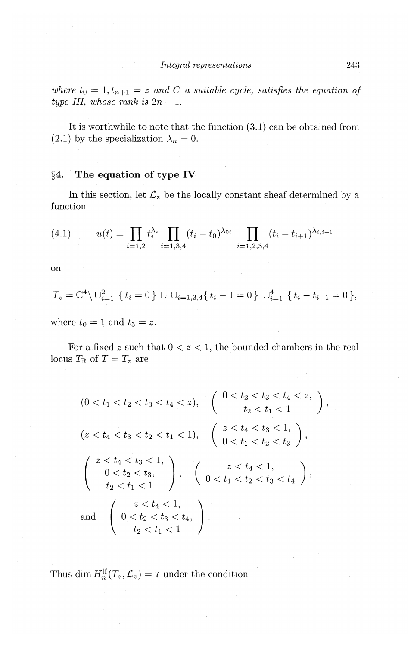where  $t_0 = 1, t_{n+1} = z$  and C a suitable cycle, satisfies the equation of *type III, whose rank is*  $2n - 1$ .

It is worthwhile to note that the function (3.1) can be obtained from (2.1) by the specialization  $\lambda_n = 0$ .

## **§4. The equation of type IV**

In this section, let  $\mathcal{L}_z$  be the locally constant sheaf determined by a function

(4.1) 
$$
u(t) = \prod_{i=1,2} t_i^{\lambda_i} \prod_{i=1,3,4} (t_i - t_0)^{\lambda_{0i}} \prod_{i=1,2,3,4} (t_i - t_{i+1})^{\lambda_{i,i+1}}
$$

on

$$
T_z = \mathbb{C}^4 \setminus \cup_{i=1}^2 \{ t_i = 0 \} \cup \cup_{i=1,3,4} \{ t_i - 1 = 0 \} \cup_{i=1}^4 \{ t_i - t_{i+1} = 0 \},
$$

where  $t_0 = 1$  and  $t_5 = z$ .

For a fixed  $z$  such that  $0 < z < 1$ , the bounded chambers in the real locus $T_{\mathbb{R}}$  of  $T=T_z$  are

$$
(0 < t_1 < t_2 < t_3 < t_4 < z), \quad \begin{cases} 0 < t_2 < t_3 < t_4 < z, \\ t_2 < t_1 < 1 \end{cases},
$$
  
\n
$$
(z < t_4 < t_3 < t_2 < t_1 < 1), \quad \begin{pmatrix} z < t_4 < t_3 < 1, \\ 0 < t_1 < t_2 < t_3 \end{pmatrix},
$$
  
\n
$$
\begin{pmatrix} z < t_4 < t_3 < 1, \\ 0 < t_2 < t_3, \\ t_2 < t_1 < 1 \end{pmatrix}, \quad \begin{pmatrix} z < t_4 < 1, \\ 0 < t_1 < t_2 < t_3 < t_4 \end{pmatrix},
$$
  
\nand 
$$
\begin{pmatrix} z < t_4 < 1, \\ 0 < t_2 < t_3 < t_4, \\ t_2 < t_1 < 1 \end{pmatrix}.
$$

Thus dim  $H_n^{\text{lf}}(T_z, \mathcal{L}_z) = 7$  under the condition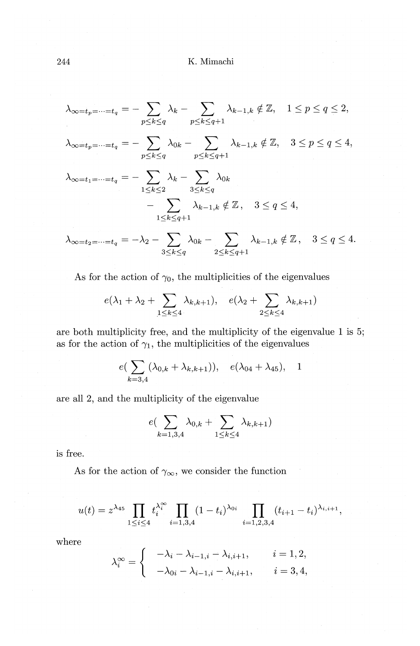$$
\lambda_{\infty=t_p=\dots=t_q}=-\sum_{p\leq k\leq q}\lambda_k-\sum_{p\leq k\leq q+1}\lambda_{k-1,k}\notin\mathbb{Z},\quad 1\leq p\leq q\leq 2,
$$

$$
\lambda_{\infty=t_p=\dots=t_q}=-\sum_{p\leq k\leq q}\lambda_{0k}-\sum_{p\leq k\leq q+1}\lambda_{k-1,k}\notin\mathbb{Z},\quad 3\leq p\leq q\leq 4,
$$

$$
\lambda_{\infty=t_1=\dots=t_q} = -\sum_{1 \le k \le 2} \lambda_k - \sum_{3 \le k \le q} \lambda_{0k}
$$

$$
-\sum_{1 \le k \le q+1} \lambda_{k-1,k} \notin \mathbb{Z}, \quad 3 \le q \le 4,
$$

$$
\lambda_{\infty=t_2=\dots=t_q}=-\lambda_2-\sum_{3\leq k\leq q}\lambda_{0k}-\sum_{2\leq k\leq q+1}\lambda_{k-1,k}\notin\mathbb{Z},\quad 3\leq q\leq 4.
$$

As for the action of  $\gamma_0$ , the multiplicities of the eigenvalues

$$
e(\lambda_1 + \lambda_2 + \sum_{1 \leq k \leq 4} \lambda_{k,k+1}), \quad e(\lambda_2 + \sum_{2 \leq k \leq 4} \lambda_{k,k+1})
$$

are both multiplicity free, and the multiplicity of the eigenvalue 1 is 5; as for the action of  $\gamma_1$ , the multiplicities of the eigenvalues

$$
e(\sum_{k=3,4} (\lambda_{0,k} + \lambda_{k,k+1})), e(\lambda_{04} + \lambda_{45}), 1
$$

are all 2, and the multiplicity of the eigenvalue

$$
e(\sum_{k=1,3,4}\lambda_{0,k}+\sum_{1\leq k\leq 4}\lambda_{k,k+1})
$$

is free.

As for the action of  $\gamma_{\infty}$ , we consider the function

$$
u(t) = z^{\lambda_{45}} \prod_{1 \leq i \leq 4} t_i^{\lambda_i^{\infty}} \prod_{i=1,3,4} (1-t_i)^{\lambda_{0i}} \prod_{i=1,2,3,4} (t_{i+1} - t_i)^{\lambda_{i,i+1}}
$$

where

$$
\lambda_i^{\infty} = \begin{cases}\n-\lambda_i - \lambda_{i-1,i} - \lambda_{i,i+1}, & i = 1, 2, \\
-\lambda_{0i} - \lambda_{i-1,i} - \lambda_{i,i+1}, & i = 3, 4,\n\end{cases}
$$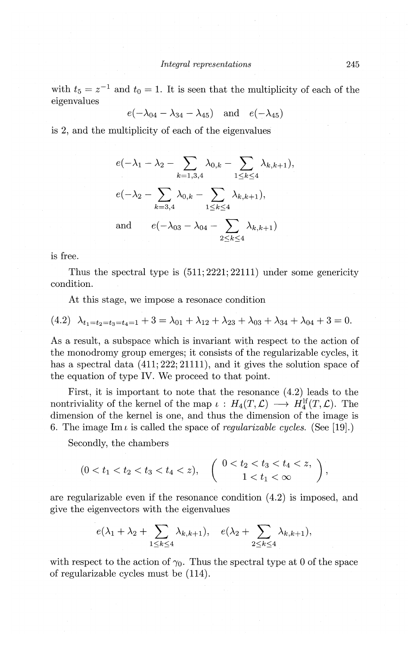with  $t_5 = z^{-1}$  and  $t_0 = 1$ . It is seen that the multiplicity of each of the eigenvalues

$$
e(-\lambda_{04}-\lambda_{34}-\lambda_{45})
$$
 and  $e(-\lambda_{45})$ 

is 2, and the multiplicity of each of the eigenvalues

$$
e(-\lambda_1 - \lambda_2 - \sum_{k=1,3,4} \lambda_{0,k} - \sum_{1 \le k \le 4} \lambda_{k,k+1}),
$$
  
\n
$$
e(-\lambda_2 - \sum_{k=3,4} \lambda_{0,k} - \sum_{1 \le k \le 4} \lambda_{k,k+1}),
$$
  
\nand  
\n
$$
e(-\lambda_{03} - \lambda_{04} - \sum_{2 \le k \le 4} \lambda_{k,k+1})
$$

is free.

Thus the spectral type is (511; 2221; 22111) under some genericity condition.

At this stage, we impose a resonace condition

$$
(4.2) \ \ \lambda_{t_1=t_2=t_3=t_4=1}+3=\lambda_{01}+\lambda_{12}+\lambda_{23}+\lambda_{03}+\lambda_{34}+\lambda_{04}+3=0.
$$

As a result, a subspace which is invariant with respect to the action of the monodromy group emerges; it consists of the regularizable cycles, it has a spectral data  $(411; 222; 21111)$ , and it gives the solution space of the equation of type IV. We proceed to that point.

First, it is important to note that the resonance (4.2) leads to the nontriviality of the kernel of the map  $\iota: H_4(T, \mathcal{L}) \longrightarrow H_4^{\text{lf}}(T, \mathcal{L})$ . The dimension of the kernel is one, and thus the dimension of the image is 6. The image Im<sub>i</sub> is called the space of *regularizable cycles.* (See [19].)

Secondly, the chambers

$$
(0 < t_1 < t_2 < t_3 < t_4 < z), \quad \left( \begin{array}{c} 0 < t_2 < t_3 < t_4 < z, \\ 1 < t_1 < \infty \end{array} \right),
$$

are regularizable even if the resonance condition ( 4.2) is imposed, and give the eigenvectors with the eigenvalues

$$
e(\lambda_1+\lambda_2+\sum_{1\leq k\leq 4}\lambda_{k,k+1}),\quad e(\lambda_2+\sum_{2\leq k\leq 4}\lambda_{k,k+1}),
$$

with respect to the action of  $\gamma_0$ . Thus the spectral type at 0 of the space of regularizable cycles must be (114).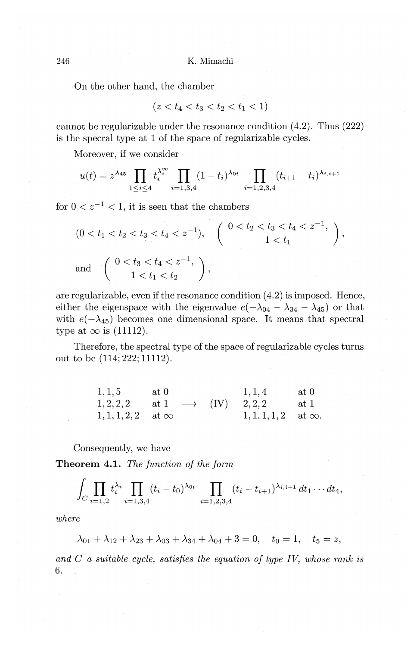On the other hand, the chamber

$$
(z < t_4 < t_3 < t_2 < t_1 < 1)
$$

cannot be regularizable under the resonance condition (4.2). Thus (222) is the specral type at **1** of the space of regularizable cycles.

Moreover, if we consider

$$
u(t) = z^{\lambda_{45}} \prod_{1 \leq i \leq 4} t_i^{\lambda_i^{\infty}} \prod_{i=1,3,4} (1-t_i)^{\lambda_{0i}} \prod_{i=1,2,3,4} (t_{i+1} - t_i)^{\lambda_{i,i+1}}
$$

for  $0 < z^{-1} < 1$ , it is seen that the chambers

$$
(0 < t_1 < t_2 < t_3 < t_4 < z^{-1}), \quad \left( \begin{array}{c} 0 < t_2 < t_3 < t_4 < z^{-1}, \\ 1 < t_1 \end{array} \right),
$$
  
and 
$$
\left( \begin{array}{c} 0 < t_3 < t_4 < z^{-1}, \\ 1 < t_1 < t_2 \end{array} \right),
$$

are regularizable, even if the resonance condition  $(4.2)$  is imposed. Hence, either the eigenspace with the eigenvalue  $e(-\lambda_{04} - \lambda_{34} - \lambda_{45})$  or that with  $e(-\lambda_{45})$  becomes one dimensional space. It means that spectral type at  $\infty$  is (11112).

Therefore, the spectral type of the space of regularizable cycles turns out to be (114; 222; 11112).

| 1, 1, 5                     | at 0                                          | 1, 1, 4                       | $at\ 0$ |
|-----------------------------|-----------------------------------------------|-------------------------------|---------|
|                             | $1,2,2,2$ at $1 \longrightarrow (IV)$ $2,2,2$ |                               | at 1    |
| $1, 1, 1, 2, 2$ at $\infty$ |                                               | $1, 1, 1, 1, 2$ at $\infty$ . |         |

Consequently, we have

**Theorem 4.1.** *The function of the form* 

$$
\int_C \prod_{i=1,2} t_i^{\lambda_i} \prod_{i=1,3,4} (t_i-t_0)^{\lambda_{0i}} \prod_{i=1,2,3,4} (t_i-t_{i+1})^{\lambda_{i,i+1}} dt_1 \cdots dt_4,
$$

*where* 

$$
\lambda_{01} + \lambda_{12} + \lambda_{23} + \lambda_{03} + \lambda_{34} + \lambda_{04} + 3 = 0, \quad t_0 = 1, \quad t_5 = z,
$$

*and C a suitable cycle, satisfies the equation of type IV, whose rank is*  6.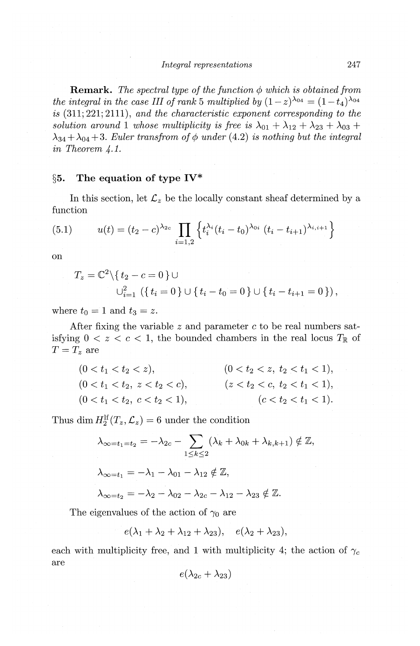**Remark.** The spectral type of the function  $\phi$  which is obtained from *the integral in the case III of rank 5 multiplied by*  $(1-z)^{\lambda_{04}} = (1-t_4)^{\lambda_{04}}$ . *is* (311; 221; 2111), *and the characteristic exponent corresponding to the*  solution around 1 whose multiplicity is free is  $\lambda_{01} + \lambda_{12} + \lambda_{23} + \lambda_{03}$  +  $\lambda_{34} + \lambda_{04} + 3$ . *Euler transfrom of*  $\phi$  *under* (4.2) *is nothing but the integral in Theorem* 4.1.

# **§5. The equation of type IV\***

In this section, let  $\mathcal{L}_z$  be the locally constant sheaf determined by a function

(5.1) 
$$
u(t) = (t_2 - c)^{\lambda_{2c}} \prod_{i=1,2} \left\{ t_i^{\lambda_i} (t_i - t_0)^{\lambda_{0i}} (t_i - t_{i+1})^{\lambda_{i,i+1}} \right\}
$$

on

$$
T_z = \mathbb{C}^2 \setminus \{ t_2 - c = 0 \} \cup
$$
  

$$
\cup_{i=1}^2 \left( \{ t_i = 0 \} \cup \{ t_i - t_0 = 0 \} \cup \{ t_i - t_{i+1} = 0 \} \right),
$$

where  $t_0 = 1$  and  $t_3 = z$ .

After fixing the variable *z* and parameter *c* to be real numbers satisfying  $0 < z < c < 1$ , the bounded chambers in the real locus  $T_{\mathbb{R}}$  of  $T = T_z$  are

$$
(0 < t1 < t2 < z), \t\t (0 < t2 < t1 < 1),
$$
  
\n
$$
(0 < t1 < t2, z < t2 < c), \t\t (z < t2 < t1 < 1),
$$
  
\n
$$
(0 < t1 < t2, z < t2 < c), \t\t (z < t2 < t1 < 1),
$$
  
\n
$$
(c < t2 < t1 < 1).
$$

Thus dim  $H_2^{\text{lf}}(T_z, \mathcal{L}_z) = 6$  under the condition

$$
\lambda_{\infty=t_1=t_2} = -\lambda_{2c} - \sum_{1 \le k \le 2} (\lambda_k + \lambda_{0k} + \lambda_{k,k+1}) \notin \mathbb{Z},
$$
  

$$
\lambda_{\infty=t_1} = -\lambda_1 - \lambda_{01} - \lambda_{12} \notin \mathbb{Z},
$$
  

$$
\lambda_{\infty=t_2} = -\lambda_2 - \lambda_{02} - \lambda_{2c} - \lambda_{12} - \lambda_{23} \notin \mathbb{Z}.
$$

The eigenvalues of the action of  $\gamma_0$  are

$$
e(\lambda_1 + \lambda_2 + \lambda_{12} + \lambda_{23}), \quad e(\lambda_2 + \lambda_{23}),
$$

each with multiplicity free, and 1 with multiplicity 4; the action of  $\gamma_c$ are

$$
e(\lambda_{2c} + \lambda_{23})
$$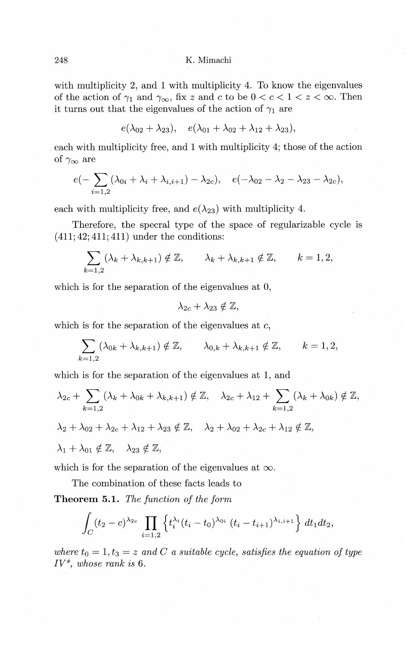with multiplicity 2, and **1** with multiplicity 4. To know the eigenvalues of the action of  $\gamma_1$  and  $\gamma_\infty$ , fix *z* and *c* to be  $0 < c < 1 < z < \infty$ . Then it turns out that the eigenvalues of the action of  $\gamma_1$  are

$$
e(\lambda_{02}+\lambda_{23}), e(\lambda_{01}+\lambda_{02}+\lambda_{12}+\lambda_{23}),
$$

each with multiplicity free, and **1** with multiplicity 4; those of the action of  $\gamma_{\infty}$  are

$$
e(-\sum_{i=1,2}(\lambda_{0i}+\lambda_i+\lambda_{i,i+1})-\lambda_{2c}),\quad e(-\lambda_{02}-\lambda_2-\lambda_{23}-\lambda_{2c}),
$$

each with multiplicity free, and  $e(\lambda_{23})$  with multiplicity 4.

Therefore, the specral type of the space of regularizable cycle is  $(411; 42; 411; 411)$  under the conditions:

$$
\sum_{k=1,2} (\lambda_k + \lambda_{k,k+1}) \notin \mathbb{Z}, \qquad \lambda_k + \lambda_{k,k+1} \notin \mathbb{Z}, \qquad k = 1,2,
$$

which is for the separation of the eigenvalues at 0,

$$
\lambda_{2c} + \lambda_{23} \notin \mathbb{Z},
$$

which is for the separation of the eigenvalues at *c,* 

$$
\sum_{k=1,2} (\lambda_{0k} + \lambda_{k,k+1}) \notin \mathbb{Z}, \qquad \lambda_{0,k} + \lambda_{k,k+1} \notin \mathbb{Z}, \qquad k = 1,2,
$$

which is for the separation of the eigenvalues at **1,** and

$$
\lambda_{2c} + \sum_{k=1,2} (\lambda_k + \lambda_{0k} + \lambda_{k,k+1}) \notin \mathbb{Z}, \quad \lambda_{2c} + \lambda_{12} + \sum_{k=1,2} (\lambda_k + \lambda_{0k}) \notin \mathbb{Z},
$$
  

$$
\lambda_2 + \lambda_{02} + \lambda_{2c} + \lambda_{12} + \lambda_{23} \notin \mathbb{Z}, \quad \lambda_2 + \lambda_{02} + \lambda_{2c} + \lambda_{12} \notin \mathbb{Z},
$$
  

$$
\lambda_1 + \lambda_{01} \notin \mathbb{Z}, \quad \lambda_{23} \notin \mathbb{Z},
$$

which is for the separation of the eigenvalues at  $\infty$ .

The combination of these facts leads to

**Theorem 5.1.** *The function of the form* 

$$
\int_C (t_2-c)^{\lambda_{2c}} \prod_{i=1,2} \left\{ t_i^{\lambda_i} (t_i-t_0)^{\lambda_{0i}} \left(t_i-t_{i+1}\right)^{\lambda_{i,i+1}} \right\} dt_1 dt_2,
$$

where  $t_0 = 1, t_3 = z$  and C a suitable cycle, satisfies the equation of type *IV\*, whose rank is 6.*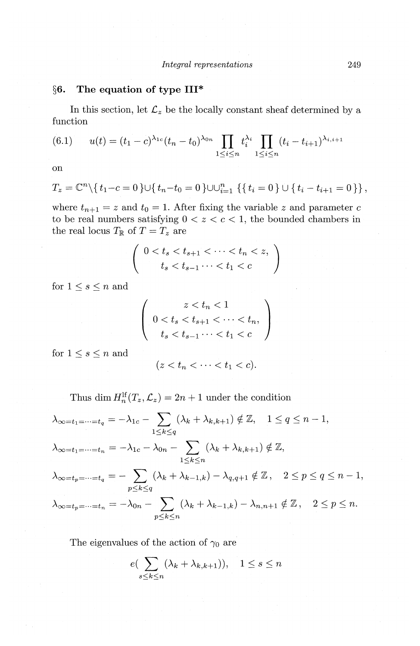#### The equation of type III\* §6.

In this section, let  $\mathcal{L}_z$  be the locally constant sheaf determined by a function

(6.1) 
$$
u(t) = (t_1 - c)^{\lambda_{1c}} (t_n - t_0)^{\lambda_{0n}} \prod_{1 \leq i \leq n} t_i^{\lambda_i} \prod_{1 \leq i \leq n} (t_i - t_{i+1})^{\lambda_{i,i+1}}
$$

<sub>on</sub>

$$
T_z = \mathbb{C}^n \setminus \{t_1 - c = 0\} \cup \{t_n - t_0 = 0\} \cup \cup_{i=1}^n \{t_i = 0\} \cup \{t_i - t_{i+1} = 0\},
$$

where  $t_{n+1} = z$  and  $t_0 = 1$ . After fixing the variable z and parameter c to be real numbers satisfying  $0 < z < c < 1$ , the bounded chambers in the real locus  $T_\mathbb{R}$  of  $T=T_z$  are

$$
\left(\begin{array}{c}0 < t_s < t_{s+1} < \cdots < t_n < z, \\t_s < t_{s-1} < \cdots < t_1 < c\end{array}\right)
$$

for  $1\leq s\leq n$  and

$$
\begin{pmatrix}\n z < t_n < 1 \\
 0 < t_s < t_{s+1} < \dots < t_n, \\
 t_s < t_{s-1} < t_1 < c\n\end{pmatrix}
$$

for  $1\leq s\leq n$  and

$$
(z
$$

Thus dim  $H_n^{\text{lf}}(T_z, \mathcal{L}_z) = 2n + 1$  under the condition

$$
\lambda_{\infty=t_1=\dots=t_q} = -\lambda_{1c} - \sum_{1 \le k \le q} (\lambda_k + \lambda_{k,k+1}) \notin \mathbb{Z}, \quad 1 \le q \le n-1,
$$
  

$$
\lambda_{\infty=t_1=\dots=t_n} = -\lambda_{1c} - \lambda_{0n} - \sum_{1 \le k \le n} (\lambda_k + \lambda_{k,k+1}) \notin \mathbb{Z},
$$
  

$$
\lambda_{\infty=t_p=\dots=t_q} = -\sum_{p \le k \le q} (\lambda_k + \lambda_{k-1,k}) - \lambda_{q,q+1} \notin \mathbb{Z}, \quad 2 \le p \le q \le n-1
$$
  

$$
\lambda_{\infty=t_p=\dots=t_n} = -\lambda_{0n} - \sum_{p \le k \le n} (\lambda_k + \lambda_{k-1,k}) - \lambda_{n,n+1} \notin \mathbb{Z}, \quad 2 \le p \le n.
$$

The eigenvalues of the action of  $\gamma_0$  are

$$
e\left(\sum_{s\leq k\leq n}(\lambda_k+\lambda_{k,k+1})\right), \quad 1\leq s\leq n
$$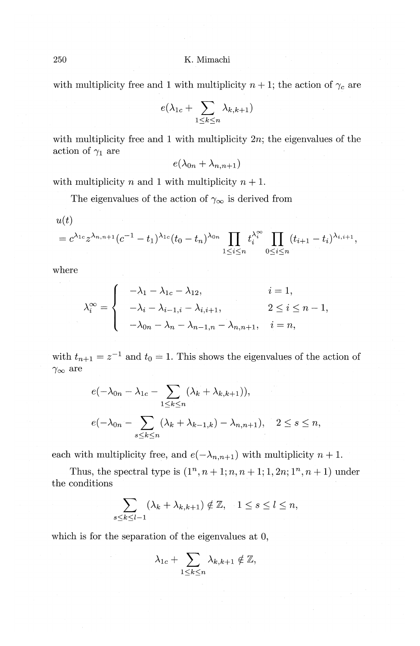with multiplicity free and 1 with multiplicity  $n + 1$ ; the action of  $\gamma_c$  are

$$
e(\lambda_{1c} + \sum_{1 \leq k \leq n} \lambda_{k,k+1})
$$

with multiplicity free and 1 with multiplicity  $2n$ ; the eigenvalues of the action of  $\gamma_1$  are

 $e(\lambda_{0n} + \lambda_{n,n+1})$ 

with multiplicity *n* and 1 with multiplicity  $n + 1$ .

The eigenvalues of the action of  $\gamma_{\infty}$  is derived from

$$
u(t)
$$

$$
=c^{\lambda_{1c}}z^{\lambda_{n,n+1}}(c^{-1}-t_{1})^{\lambda_{1c}}(t_{0}-t_{n})^{\lambda_{0n}}\prod_{1\leq i\leq n}t_{i}^{\lambda_{i}^{\infty}}\prod_{0\leq i\leq n}(t_{i+1}-t_{i})^{\lambda_{i,i+1}},
$$

where

$$
\lambda_i^{\infty} = \begin{cases}\n-\lambda_1 - \lambda_{1c} - \lambda_{12}, & i = 1, \\
-\lambda_i - \lambda_{i-1,i} - \lambda_{i,i+1}, & 2 \le i \le n-1, \\
-\lambda_{0n} - \lambda_n - \lambda_{n-1,n} - \lambda_{n,n+1}, & i = n,\n\end{cases}
$$

with  $t_{n+1} = z^{-1}$  and  $t_0 = 1$ . This shows the eigenvalues of the action of  $\gamma_\infty$  are

$$
e(-\lambda_{0n} - \lambda_{1c} - \sum_{1 \le k \le n} (\lambda_k + \lambda_{k,k+1})),
$$
  

$$
e(-\lambda_{0n} - \sum_{s \le k \le n} (\lambda_k + \lambda_{k-1,k}) - \lambda_{n,n+1}), \quad 2 \le s \le n,
$$

each with multiplicity free, and  $e(-\lambda_{n,n+1})$  with multiplicity  $n+1$ .

Thus, the spectral type is  $(1^n, n+1; n, n+1; 1, 2n; 1^n, n+1)$  under the conditions

$$
\sum_{s\leq k\leq l-1}(\lambda_k+\lambda_{k,k+1})\notin\mathbb{Z},\quad 1\leq s\leq l\leq n,
$$

which is for the separation of the eigenvalues at 0,

$$
\lambda_{1c} + \sum_{1 \leq k \leq n} \lambda_{k,k+1} \notin \mathbb{Z},
$$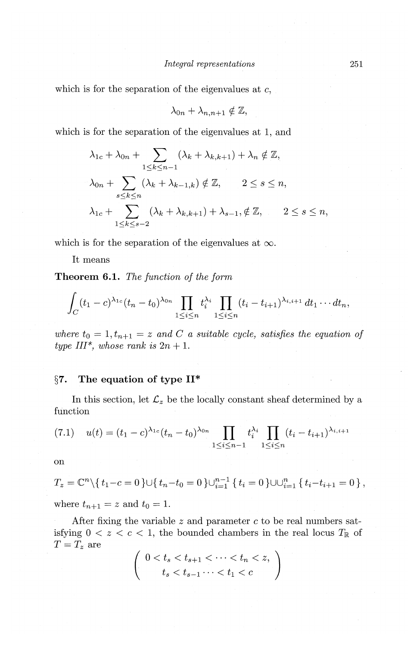which is for the separation of the eigenvalues at  $c$ ,

$$
\lambda_{0n} + \lambda_{n,n+1} \notin \mathbb{Z},
$$

which is for the separation of the eigenvalues at 1, and

$$
\lambda_{1c} + \lambda_{0n} + \sum_{1 \le k \le n-1} (\lambda_k + \lambda_{k,k+1}) + \lambda_n \notin \mathbb{Z},
$$
  

$$
\lambda_{0n} + \sum_{s \le k \le n} (\lambda_k + \lambda_{k-1,k}) \notin \mathbb{Z}, \qquad 2 \le s \le n,
$$
  

$$
\lambda_{1c} + \sum_{1 \le k \le s-2} (\lambda_k + \lambda_{k,k+1}) + \lambda_{s-1}, \notin \mathbb{Z}, \qquad 2 \le s \le n,
$$

which is for the separation of the eigenvalues at  $\infty$ .

It means

**Theorem 6.1.** *The function of the form* 

$$
\int_C (t_1-c)^{\lambda_{1c}}(t_n-t_0)^{\lambda_{0n}}\prod_{1\leq i\leq n}t_i^{\lambda_i}\prod_{1\leq i\leq n}(t_i-t_{i+1})^{\lambda_{i,i+1}}dt_1\cdots dt_n,
$$

where  $t_0 = 1, t_{n+1} = z$  and C a suitable cycle, satisfies the equation of *type III\*, whose rank is*  $2n + 1$ .

#### **§7. The equation of type II\***

In this section, let  $\mathcal{L}_z$  be the locally constant sheaf determined by a function

(7.1) 
$$
u(t) = (t_1 - c)^{\lambda_{1c}} (t_n - t_0)^{\lambda_{0n}} \prod_{1 \leq i \leq n-1} t_i^{\lambda_i} \prod_{1 \leq i \leq n} (t_i - t_{i+1})^{\lambda_{i,i+1}}
$$

on

$$
T_z = \mathbb{C}^n \setminus \{ t_1 - c = 0 \} \cup \{ t_n - t_0 = 0 \} \cup_{i=1}^{n-1} \{ t_i = 0 \} \cup \cup_{i=1}^n \{ t_i - t_{i+1} = 0 \},
$$
  
where  $t_{n+1} = z$  and  $t_0 = 1$ .

After fixing the variable *z* and parameter c to be real numbers satisfying  $0 < z < c < 1$ , the bounded chambers in the real locus  $T_R$  of  $T=T_z$  are

$$
\left(\begin{array}{c}0 < t_s < t_{s+1} < \cdots < t_n < z, \\t_s < t_{s-1} \cdots < t_1 < c\end{array}\right)
$$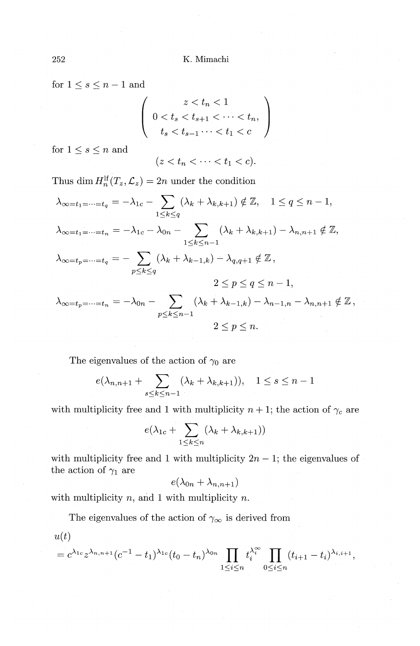for  $1 \leq s \leq n-1$  and

$$
\left(\n\begin{array}{c}\nz < t_n < 1 \\
0 < t_s < t_{s+1} < \dots < t_n, \\
t_s < t_{s-1} < \dots < t_1 < c\n\end{array}\n\right)
$$

for  $1\leq s\leq n$  and

$$
(z < t_n < \cdots < t_1 < c).
$$

Thus dim  $H_n^{\text{lf}}(T_z, \mathcal{L}_z) = 2n$  under the condition  $\lambda_{\infty=t_1=\dots=t_q}=-\lambda_{1c}-\sum_{1\leq k\leq q}(\lambda_k+\lambda_{k,k+1})\notin\mathbb{Z},\quad 1\leq q\leq n-1,$  $\lambda_{\infty=t_1=\dots=t_n}=-\lambda_{1c}-\lambda_{0n}-\sum_{1\leq k\leq n-1}\left(\lambda_k+\lambda_{k,k+1}\right)-\lambda_{n,n+1}\notin\mathbb{Z},$  $\lambda_{\infty=t_p=\dots=t_q}=-\sum_{p\leq k\leq q}(\lambda_k+\lambda_{k-1,k})-\lambda_{q,q+1}\notin\mathbb{Z}\,,$  $2 \leq p \leq q \leq n-1$  $\lambda_{\infty=t_p=\dots=t_n}=-\lambda_{0n}-\sum_{p\leq k\leq n-1}(\lambda_k+\lambda_{k-1,k})-\lambda_{n-1,n}-\lambda_{n,n+1}\notin\mathbb{Z}$  $2 \leq p \leq n$ .

The eigenvalues of the action of  $\gamma_0$  are

$$
e(\lambda_{n,n+1} + \sum_{s \le k \le n-1} (\lambda_k + \lambda_{k,k+1})), \quad 1 \le s \le n-1
$$

with multiplicity free and 1 with multiplicity  $n+1$ ; the action of  $\gamma_c$  are

$$
e(\lambda_{1c} + \sum_{1 \leq k \leq n} (\lambda_k + \lambda_{k,k+1}))
$$

with multiplicity free and 1 with multiplicity  $2n-1$ ; the eigenvalues of the action of  $\gamma_1$  are

$$
e(\lambda_{0n}+\lambda_{n,n+1})
$$

with multiplicity  $n$ , and 1 with multiplicity  $n$ .

The eigenvalues of the action of  $\gamma_{\infty}$  is derived from

 $u(t)$ 

$$
=c^{\lambda_{1c}}z^{\lambda_{n,n+1}}(c^{-1}-t_{1})^{\lambda_{1c}}(t_{0}-t_{n})^{\lambda_{0n}}\prod_{1\leq i\leq n}t_{i}^{\lambda_{i}^{\infty}}\prod_{0\leq i\leq n}(t_{i+1}-t_{i})^{\lambda_{i,i+1}},
$$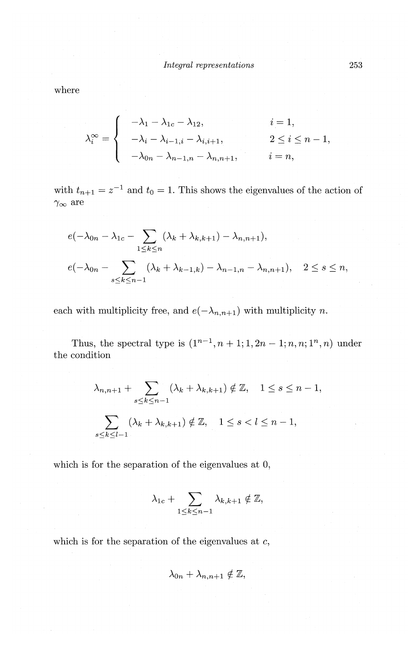where

$$
\lambda_i^{\infty} = \begin{cases}\n-\lambda_1 - \lambda_{1c} - \lambda_{12}, & i = 1, \\
-\lambda_i - \lambda_{i-1,i} - \lambda_{i,i+1}, & 2 \le i \le n-1, \\
-\lambda_{0n} - \lambda_{n-1,n} - \lambda_{n,n+1}, & i = n,\n\end{cases}
$$

with  $t_{n+1} = z^{-1}$  and  $t_0 = 1$ . This shows the eigenvalues of the action of  $\gamma_\infty$  are

$$
e(-\lambda_{0n} - \lambda_{1c} - \sum_{1 \le k \le n} (\lambda_k + \lambda_{k,k+1}) - \lambda_{n,n+1}),
$$
  

$$
e(-\lambda_{0n} - \sum_{s \le k \le n-1} (\lambda_k + \lambda_{k-1,k}) - \lambda_{n-1,n} - \lambda_{n,n+1}), \quad 2 \le s \le n,
$$

each with multiplicity free, and  $e(-\lambda_{n,n+1})$  with multiplicity *n*.

Thus, the spectral type is  $(1^{n-1}, n+1; 1, 2n-1; n, n; 1^n, n)$  under the condition

$$
\lambda_{n,n+1} + \sum_{s \le k \le n-1} (\lambda_k + \lambda_{k,k+1}) \notin \mathbb{Z}, \quad 1 \le s \le n-1,
$$
  

$$
\sum_{s \le k \le l-1} (\lambda_k + \lambda_{k,k+1}) \notin \mathbb{Z}, \quad 1 \le s < l \le n-1,
$$

which is for the separation of the eigenvalues at 0,

$$
\lambda_{1c} + \sum_{1 \leq k \leq n-1} \lambda_{k,k+1} \notin \mathbb{Z},
$$

which is for the separation of the eigenvalues at  $c$ ,

$$
\lambda_{0n}+\lambda_{n,n+1}\notin\mathbb{Z},
$$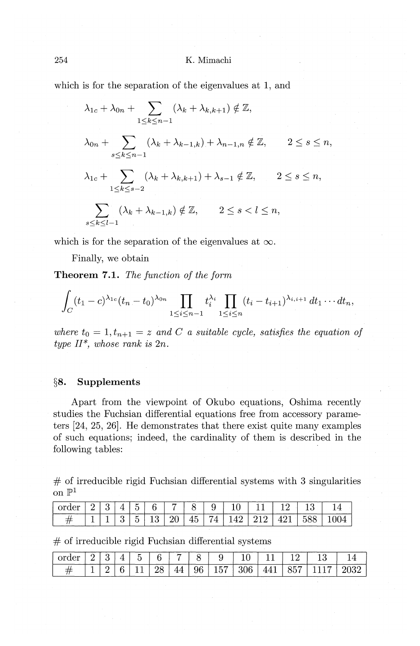which is for the separation of the eigenvalues at 1, and

$$
\lambda_{1c} + \lambda_{0n} + \sum_{1 \le k \le n-1} (\lambda_k + \lambda_{k,k+1}) \notin \mathbb{Z},
$$
  
\n
$$
\lambda_{0n} + \sum_{s \le k \le n-1} (\lambda_k + \lambda_{k-1,k}) + \lambda_{n-1,n} \notin \mathbb{Z}, \qquad 2 \le s \le n,
$$
  
\n
$$
\lambda_{1c} + \sum_{1 \le k \le s-2} (\lambda_k + \lambda_{k,k+1}) + \lambda_{s-1} \notin \mathbb{Z}, \qquad 2 \le s \le n,
$$
  
\n
$$
\sum_{s \le k \le l-1} (\lambda_k + \lambda_{k-1,k}) \notin \mathbb{Z}, \qquad 2 \le s < l \le n,
$$

which is for the separation of the eigenvalues at  $\infty$ .

Finally, we obtain

**Theorem 7.1.** *The function of the form* 

$$
\int_C (t_1-c)^{\lambda_{1c}}(t_n-t_0)^{\lambda_{0n}}\prod_{1\leq i\leq n-1}t_i^{\lambda_i}\prod_{1\leq i\leq n}(t_i-t_{i+1})^{\lambda_{i,i+1}}dt_1\cdots dt_n,
$$

where  $t_0 = 1, t_{n+1} = z$  and C a suitable cycle, satisfies the equation of  $type II^*$ , whose rank is  $2n$ .

#### §8. **Supplements**

Apart from the viewpoint of Okubo equations, Oshima recently studies the Fuchsian differential equations free from accessory parameters  $[24, 25, 26]$ . He demonstrates that there exist quite many examples of such equations; indeed, the cardinality of them is described in the following tables:

 $#$  of irreducible rigid Fuchsian differential systems with 3 singularities on  $\mathbb{P}^1$ 

| l order | $-2$ $-2$ | 15 L |             | 6 7 8 |  | 10.                       | 11 1 12 1 |     |  |
|---------|-----------|------|-------------|-------|--|---------------------------|-----------|-----|--|
|         |           |      | 5   13   20 |       |  | 45   74   149   919   491 |           | 588 |  |

 $#$  of irreducible rigid Fuchsian differential systems

| <b>CONTRACTOR</b><br>~~ |   |  | - | ----------- |         |                                    | ∼            |        | ----------  |   |  |
|-------------------------|---|--|---|-------------|---------|------------------------------------|--------------|--------|-------------|---|--|
|                         | - |  | - | 40.         | лF<br>ັ | -<br>◡<br>$\overline{\phantom{a}}$ | ነድ<br>$\sim$ | -<br>. | -<br>◡<br>ີ | - |  |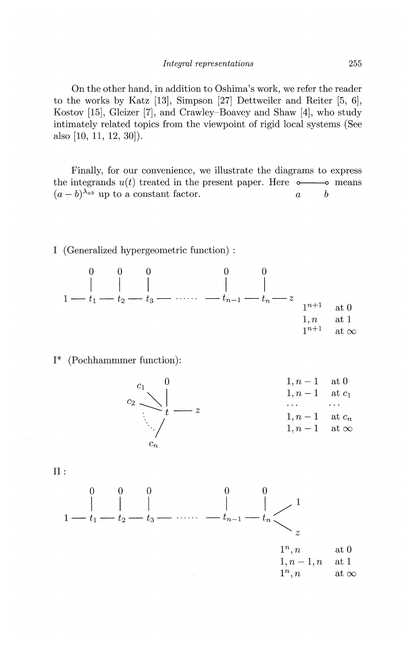On the other hand, in addition to Oshima's work, we refer the reader to the works by Katz [13], Simpson [27] Dettweiler and Reiter [5, 6], Kostov [15], Gleizer [7], and Crawley-Boavey and Shaw [4], who study intimately related topics from the viewpoint of rigid local systems (See also [10, 11, 12, 30]).

Finally, for our convenience, we illustrate the diagrams to express the integrands u(t) treated in the present paper. Here o------o means  $(a-b)^{\lambda_{ab}}$  up to a constant factor.  $a \qquad b$ 

I (Generalized hypergeometric function) :

0 0 0 0 0 I I I I I *-tn-l-tn-Z*  at 0 1, *n* at 1 1n+l at 00

I\* (Pochhammmer function):



II:

$$
\begin{array}{c|c|c|c} 0 & 0 & 0 & 0 & 0 \\ \hline & & & & \end{array}
$$
  
1 —  $t_1$  —  $t_2$  —  $t_3$  —  $\cdots$  —  $t_{n-1}$  —  $t_n$   $\begin{array}{c} 1 \\ z \\ z \\ 1, n-1, n \end{array}$  at 0  
1, n - 1, n at 1  
1<sup>n</sup>, n at 0  
at  $\infty$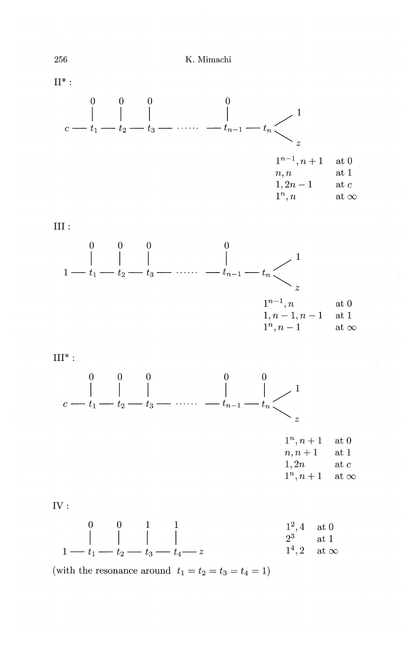

$$
\mathrm{III}:
$$



 $\mathrm{III}^*$  :



| $1^n, n+1$ | $\operatorname{at} 0$ |
|------------|-----------------------|
| $n, n+1$   | at1                   |
| 1,2n       | at c                  |
| $1^n, n+1$ | at $\infty$           |





(with the resonance around  $t_1 = t_2 = t_3 = t_4 = 1$ )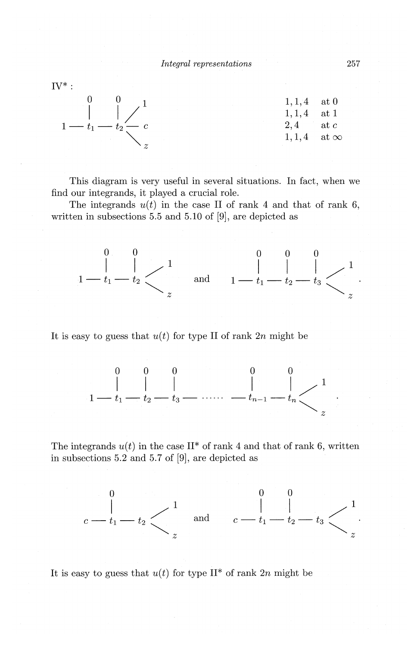

This diagram is very useful in several situations. In fact, when we find our integrands, it played a crucial role.

The integrands  $u(t)$  in the case II of rank 4 and that of rank 6, written in subsections 5.5 and 5.10 of [9], are depicted as



It is easy to guess that  $u(t)$  for type II of rank  $2n$  might be



The integrands  $u(t)$  in the case II<sup>\*</sup> of rank 4 and that of rank 6, written in subsections  $5.2$  and  $5.7$  of  $[9]$ , are depicted as



It is easy to guess that  $u(t)$  for type II<sup>\*</sup> of rank 2n might be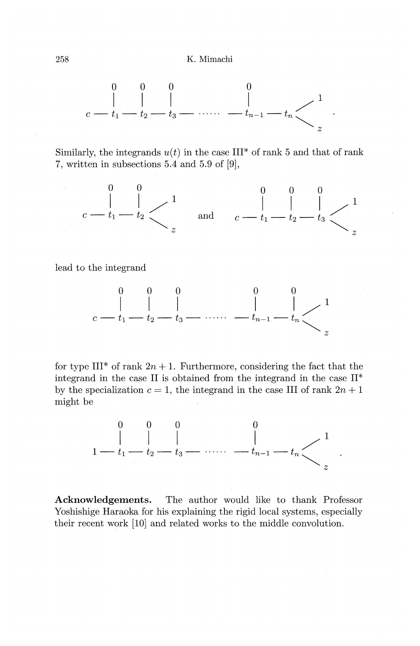

Similarly, the integrands  $u(t)$  in the case III<sup>\*</sup> of rank 5 and that of rank 7, written in subsections 5.4 and 5.9 of [9],



lead to the integrand



for type III<sup>\*</sup> of rank  $2n + 1$ . Furthermore, considering the fact that the integrand in the case II is obtained from the integrand in the case II\* by the specialization  $c = 1$ , the integrand in the case III of rank  $2n + 1$ might be



Acknowledgements. The author would like to thank Professor Yoshishige Haraoka for his explaining the rigid local systems, especially their recent work [10] and related works to the middle convolution.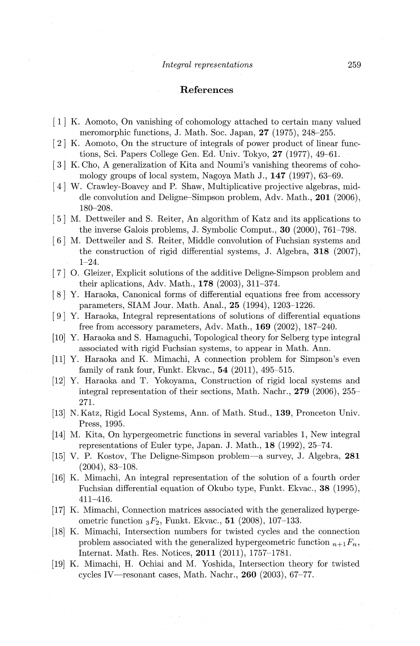#### **References**

- [ 1] K. Aomoto, On vanishing of cohomology attached to certain many valued meromorphic functions, **J.** Math. Soc. Japan, **27** (1975), 248-255.
- [ 2] K. Aomoto, On the structure of integrals of power product of linear functions, Sci. Papers College Gen. Ed. Univ. Tokyo, **27** (1977), 49-61.
- [3] K. Cho, A generalization of Kita and Noumi's vanishing theorems of cohomology groups of local system, Nagoya Math J., **147** (1997), 63-69.
- [ 4] W. Crawley-Boavey and **P.** Shaw, Multiplicative projective algebras, middle convolution and Deligne-Simpson problem, Adv. Math., **201** (2006), 180-208.
- [ 5] M. Dettweiler and S. Reiter, An algorithm of Katz and its applications to the inverse Galois problems, **J.** Symbolic Comput., **30** (2000), 761-798.
- [ 6] M. Dettweiler and S. Reiter, Middle convolution of Fuchsian systems and the construction of rigid differential systems, **J.** Algebra, **318** (2007), 1-24.
- [ 7] 0. Gleizer, Explicit solutions of the additive Deligne-Simpson problem and their aplications, Adv. Math., **178** (2003), 311-374.
- [ 8] Y. Haraoka, Canonical forms of differential equations free from accessory parameters, SIAM Jour. Math. Anal., **25** (1994), 1203-1226.
- [ 9] Y. Haraoka, Integral representations of solutions of differential equations free from accessory parameters, Adv. Math., **169** (2002), 187-240.
- [10] Y. Haraoka and S. Hamaguchi, Topological theory for Selberg type integral associated with rigid Fuchsian systems, to appear in Math. Ann.
- [11] Y. Haraoka and K. Mimachi, A connection problem for Simpson's even family of rank four, Funkt. Ekvac., **54** (2011), 495-515.
- [12] Y. Haraoka and T. Yokoyama, Construction of rigid local systems and integral representation of their sections, Math. Nachr., **279** (2006), 255- 271.
- [13] N. Katz, Rigid Local Systems, Ann. of Math. Stud., **139,** Pronceton Univ. Press, 1995.
- [14] M. Kita, On hypergeometric functions in several variables 1, New integral representations of Euler type, Japan. J. Math., **18** (1992), 25-74.
- [15] V. P. Kostov, The Deligne-Simpson problem-a survey, **J.** Algebra, **281**  (2004), 83-108.
- [16] K. Mimachi, An integral representation of the solution of a fourth order Fuchsian differential equation of Okubo type, Funkt. Ekvac., 38 (1995), 411-416.
- [17] K. Mimachi, Connection matrices associated with the generalized hypergeometric function 3F2 , Funkt. Ekvac., **51** (2008), 107-133.
- [18] K. Mimachi, Intersection numbers for twisted cycles and the connection problem associated with the generalized hypergeometric function  $n+1 \cdot F_n$ , Internat. Math. Res. Notices, **2011** (2011), 1757-1781.
- [19] K. Mimachi, H. Ochiai and M. Yoshida, Intersection theory for twisted cycles IV-resonant cases, Math. Nachr., **260** (2003), 67-77.